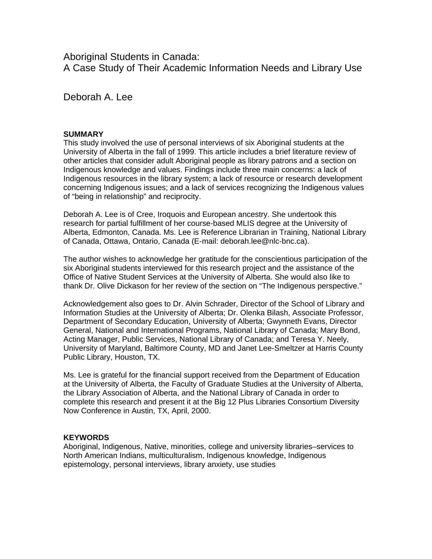Aboriginal Students in Canada:

A Case Study of Their Academic Information Needs and Library Use

Deborah A. Lee

# **SUMMARY**

This study involved the use of personal interviews of six Aboriginal students at the University of Alberta in the fall of 1999. This article includes a brief literature review of other articles that consider adult Aboriginal people as library patrons and a section on Indigenous knowledge and values. Findings include three main concerns: a lack of Indigenous resources in the library system; a lack of resource or research development concerning Indigenous issues; and a lack of services recognizing the Indigenous values of "being in relationship" and reciprocity.

Deborah A. Lee is of Cree, Iroquois and European ancestry. She undertook this research for partial fulfillment of her course-based MLIS degree at the University of Alberta, Edmonton, Canada. Ms. Lee is Reference Librarian in Training, National Library of Canada, Ottawa, Ontario, Canada (E-mail: deborah.lee@nlc-bnc.ca).

The author wishes to acknowledge her gratitude for the conscientious participation of the six Aboriginal students interviewed for this research project and the assistance of the Office of Native Student Services at the University of Alberta. She would also like to thank Dr. Olive Dickason for her review of the section on "The Indigenous perspective."

Acknowledgement also goes to Dr. Alvin Schrader, Director of the School of Library and Information Studies at the University of Alberta; Dr. Olenka Bilash, Associate Professor, Department of Secondary Education, University of Alberta; Gwynneth Evans, Director General, National and International Programs, National Library of Canada; Mary Bond, Acting Manager, Public Services, National Library of Canada; and Teresa Y. Neely, University of Maryland, Baltimore County, MD and Janet Lee-Smeltzer at Harris County Public Library, Houston, TX.

Ms. Lee is grateful for the financial support received from the Department of Education at the University of Alberta, the Faculty of Graduate Studies at the University of Alberta, the Library Association of Alberta, and the National Library of Canada in order to complete this research and present it at the Big 12 Plus Libraries Consortium Diversity Now Conference in Austin, TX, April, 2000.

## **KEYWORDS**

Aboriginal, Indigenous, Native, minorities, college and university libraries–services to North American Indians, multiculturalism, Indigenous knowledge, Indigenous epistemology, personal interviews, library anxiety, use studies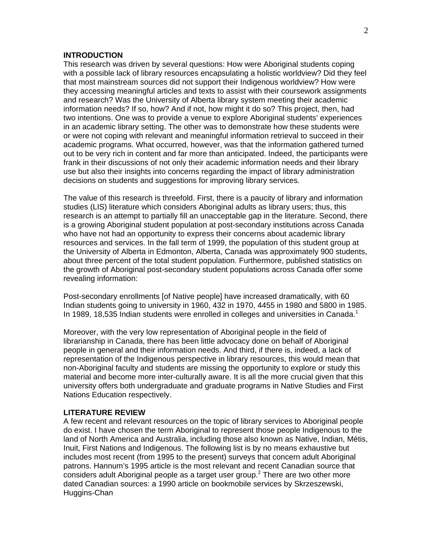### **INTRODUCTION**

This research was driven by several questions: How were Aboriginal students coping with a possible lack of library resources encapsulating a holistic worldview? Did they feel that most mainstream sources did not support their Indigenous worldview? How were they accessing meaningful articles and texts to assist with their coursework assignments and research? Was the University of Alberta library system meeting their academic information needs? If so, how? And if not, how might it do so? This project, then, had two intentions. One was to provide a venue to explore Aboriginal students' experiences in an academic library setting. The other was to demonstrate how these students were or were not coping with relevant and meaningful information retrieval to succeed in their academic programs. What occurred, however, was that the information gathered turned out to be very rich in content and far more than anticipated. Indeed, the participants were frank in their discussions of not only their academic information needs and their library use but also their insights into concerns regarding the impact of library administration decisions on students and suggestions for improving library services.

The value of this research is threefold. First, there is a paucity of library and information studies (LIS) literature which considers Aboriginal adults as library users; thus, this research is an attempt to partially fill an unacceptable gap in the literature. Second, there is a growing Aboriginal student population at post-secondary institutions across Canada who have not had an opportunity to express their concerns about academic library resources and services. In the fall term of 1999, the population of this student group at the University of Alberta in Edmonton, Alberta, Canada was approximately 900 students, about three percent of the total student population. Furthermore, published statistics on the growth of Aboriginal post-secondary student populations across Canada offer some revealing information:

Post-secondary enrollments [of Native people] have increased dramatically, with 60 Indian students going to university in 1960, 432 in 1970, 4455 in 1980 and 5800 in 1985. In 1989, 18,535 Indian students were enrolled in colleges and universities in Canada.<sup>1</sup>

Moreover, with the very low representation of Aboriginal people in the field of librarianship in Canada, there has been little advocacy done on behalf of Aboriginal people in general and their information needs. And third, if there is, indeed, a lack of representation of the Indigenous perspective in library resources, this would mean that non-Aboriginal faculty and students are missing the opportunity to explore or study this material and become more inter-culturally aware. It is all the more crucial given that this university offers both undergraduate and graduate programs in Native Studies and First Nations Education respectively.

#### **LITERATURE REVIEW**

A few recent and relevant resources on the topic of library services to Aboriginal people do exist. I have chosen the term Aboriginal to represent those people Indigenous to the land of North America and Australia, including those also known as Native, Indian, Métis, Inuit, First Nations and Indigenous. The following list is by no means exhaustive but includes most recent (from 1995 to the present) surveys that concern adult Aboriginal patrons. Hannum's 1995 article is the most relevant and recent Canadian source that considers adult Aboriginal people as a target user group.<sup>2</sup> There are two other more dated Canadian sources: a 1990 article on bookmobile services by Skrzeszewski, Huggins-Chan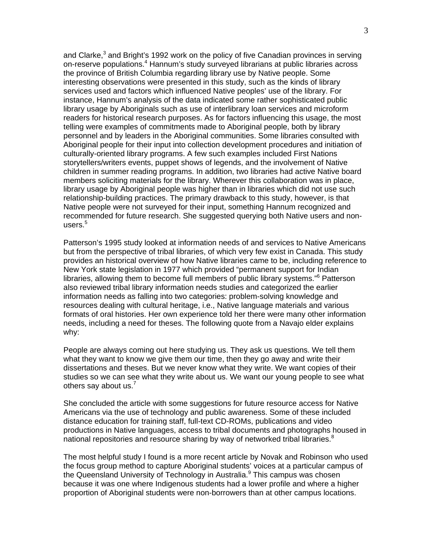and Clarke, $3$  and Bright's 1992 work on the policy of five Canadian provinces in serving on-reserve populations.<sup>4</sup> Hannum's study surveyed librarians at public libraries across the province of British Columbia regarding library use by Native people. Some interesting observations were presented in this study, such as the kinds of library services used and factors which influenced Native peoples' use of the library. For instance, Hannum's analysis of the data indicated some rather sophisticated public library usage by Aboriginals such as use of interlibrary loan services and microform readers for historical research purposes. As for factors influencing this usage, the most telling were examples of commitments made to Aboriginal people, both by library personnel and by leaders in the Aboriginal communities. Some libraries consulted with Aboriginal people for their input into collection development procedures and initiation of culturally-oriented library programs. A few such examples included First Nations storytellers/writers events, puppet shows of legends, and the involvement of Native children in summer reading programs. In addition, two libraries had active Native board members soliciting materials for the library. Wherever this collaboration was in place, library usage by Aboriginal people was higher than in libraries which did not use such relationship-building practices. The primary drawback to this study, however, is that Native people were not surveyed for their input, something Hannum recognized and recommended for future research. She suggested querying both Native users and nonusers. $^{\rm 5}$ 

Patterson's 1995 study looked at information needs of and services to Native Americans but from the perspective of tribal libraries, of which very few exist in Canada. This study provides an historical overview of how Native libraries came to be, including reference to New York state legislation in 1977 which provided "permanent support for Indian libraries, allowing them to become full members of public library systems."<sup>6</sup> Patterson also reviewed tribal library information needs studies and categorized the earlier information needs as falling into two categories: problem-solving knowledge and resources dealing with cultural heritage, i.e., Native language materials and various formats of oral histories. Her own experience told her there were many other information needs, including a need for theses. The following quote from a Navajo elder explains why:

People are always coming out here studying us. They ask us questions. We tell them what they want to know we give them our time, then they go away and write their dissertations and theses. But we never know what they write. We want copies of their studies so we can see what they write about us. We want our young people to see what others say about us. $<sup>7</sup>$ </sup>

She concluded the article with some suggestions for future resource access for Native Americans via the use of technology and public awareness. Some of these included distance education for training staff, full-text CD-ROMs, publications and video productions in Native languages, access to tribal documents and photographs housed in national repositories and resource sharing by way of networked tribal libraries. $8$ 

The most helpful study I found is a more recent article by Novak and Robinson who used the focus group method to capture Aboriginal students' voices at a particular campus of the Queensland University of Technology in Australia.<sup>9</sup> This campus was chosen because it was one where Indigenous students had a lower profile and where a higher proportion of Aboriginal students were non-borrowers than at other campus locations.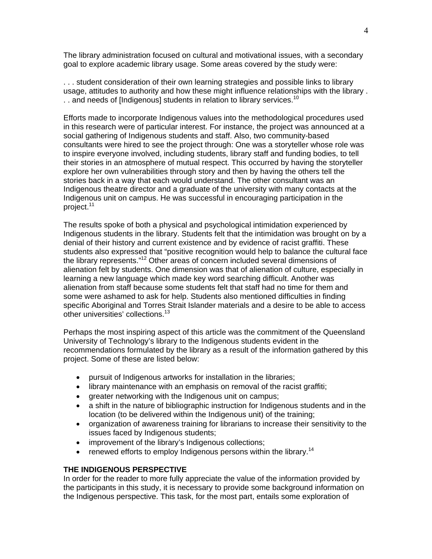The library administration focused on cultural and motivational issues, with a secondary goal to explore academic library usage. Some areas covered by the study were:

. . . student consideration of their own learning strategies and possible links to library usage, attitudes to authority and how these might influence relationships with the library . .. and needs of [Indigenous] students in relation to library services.<sup>10</sup>

Efforts made to incorporate Indigenous values into the methodological procedures used in this research were of particular interest. For instance, the project was announced at a social gathering of Indigenous students and staff. Also, two community-based consultants were hired to see the project through: One was a storyteller whose role was to inspire everyone involved, including students, library staff and funding bodies, to tell their stories in an atmosphere of mutual respect. This occurred by having the storyteller explore her own vulnerabilities through story and then by having the others tell the stories back in a way that each would understand. The other consultant was an Indigenous theatre director and a graduate of the university with many contacts at the Indigenous unit on campus. He was successful in encouraging participation in the project.<sup>11</sup>

The results spoke of both a physical and psychological intimidation experienced by Indigenous students in the library. Students felt that the intimidation was brought on by a denial of their history and current existence and by evidence of racist graffiti. These students also expressed that "positive recognition would help to balance the cultural face the library represents."12 Other areas of concern included several dimensions of alienation felt by students. One dimension was that of alienation of culture, especially in learning a new language which made key word searching difficult. Another was alienation from staff because some students felt that staff had no time for them and some were ashamed to ask for help. Students also mentioned difficulties in finding specific Aboriginal and Torres Strait Islander materials and a desire to be able to access other universities' collections.<sup>13</sup>

Perhaps the most inspiring aspect of this article was the commitment of the Queensland University of Technology's library to the Indigenous students evident in the recommendations formulated by the library as a result of the information gathered by this project. Some of these are listed below:

- pursuit of Indigenous artworks for installation in the libraries;
- library maintenance with an emphasis on removal of the racist graffiti;
- greater networking with the Indigenous unit on campus;
- a shift in the nature of bibliographic instruction for Indigenous students and in the location (to be delivered within the Indigenous unit) of the training;
- organization of awareness training for librarians to increase their sensitivity to the issues faced by Indigenous students;
- improvement of the library's Indigenous collections;
- renewed efforts to employ Indigenous persons within the library.<sup>14</sup>

## **THE INDIGENOUS PERSPECTIVE**

In order for the reader to more fully appreciate the value of the information provided by the participants in this study, it is necessary to provide some background information on the Indigenous perspective. This task, for the most part, entails some exploration of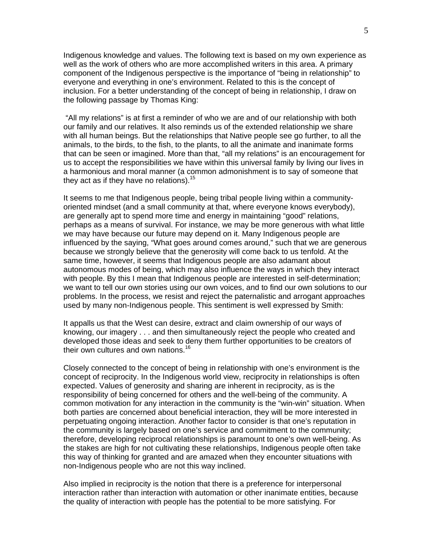Indigenous knowledge and values. The following text is based on my own experience as well as the work of others who are more accomplished writers in this area. A primary component of the Indigenous perspective is the importance of "being in relationship" to everyone and everything in one's environment. Related to this is the concept of inclusion. For a better understanding of the concept of being in relationship, I draw on the following passage by Thomas King:

 "All my relations" is at first a reminder of who we are and of our relationship with both our family and our relatives. It also reminds us of the extended relationship we share with all human beings. But the relationships that Native people see go further, to all the animals, to the birds, to the fish, to the plants, to all the animate and inanimate forms that can be seen or imagined. More than that, "all my relations" is an encouragement for us to accept the responsibilities we have within this universal family by living our lives in a harmonious and moral manner (a common admonishment is to say of someone that they act as if they have no relations).  $15$ 

It seems to me that Indigenous people, being tribal people living within a communityoriented mindset (and a small community at that, where everyone knows everybody), are generally apt to spend more time and energy in maintaining "good" relations, perhaps as a means of survival. For instance, we may be more generous with what little we may have because our future may depend on it. Many Indigenous people are influenced by the saying, "What goes around comes around," such that we are generous because we strongly believe that the generosity will come back to us tenfold. At the same time, however, it seems that Indigenous people are also adamant about autonomous modes of being, which may also influence the ways in which they interact with people. By this I mean that Indigenous people are interested in self-determination; we want to tell our own stories using our own voices, and to find our own solutions to our problems. In the process, we resist and reject the paternalistic and arrogant approaches used by many non-Indigenous people. This sentiment is well expressed by Smith:

It appalls us that the West can desire, extract and claim ownership of our ways of knowing, our imagery . . . and then simultaneously reject the people who created and developed those ideas and seek to deny them further opportunities to be creators of their own cultures and own nations.<sup>16</sup>

Closely connected to the concept of being in relationship with one's environment is the concept of reciprocity. In the Indigenous world view, reciprocity in relationships is often expected. Values of generosity and sharing are inherent in reciprocity, as is the responsibility of being concerned for others and the well-being of the community. A common motivation for any interaction in the community is the "win-win" situation. When both parties are concerned about beneficial interaction, they will be more interested in perpetuating ongoing interaction. Another factor to consider is that one's reputation in the community is largely based on one's service and commitment to the community; therefore, developing reciprocal relationships is paramount to one's own well-being. As the stakes are high for not cultivating these relationships, Indigenous people often take this way of thinking for granted and are amazed when they encounter situations with non-Indigenous people who are not this way inclined.

Also implied in reciprocity is the notion that there is a preference for interpersonal interaction rather than interaction with automation or other inanimate entities, because the quality of interaction with people has the potential to be more satisfying. For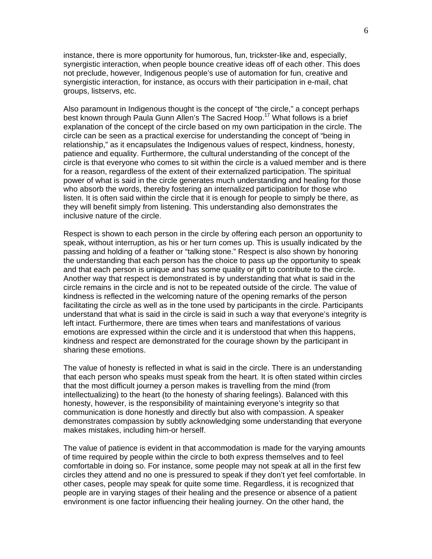instance, there is more opportunity for humorous, fun, trickster-like and, especially, synergistic interaction, when people bounce creative ideas off of each other. This does not preclude, however, Indigenous people's use of automation for fun, creative and synergistic interaction, for instance, as occurs with their participation in e-mail, chat groups, listservs, etc.

Also paramount in Indigenous thought is the concept of "the circle," a concept perhaps best known through Paula Gunn Allen's The Sacred Hoop.<sup>17</sup> What follows is a brief explanation of the concept of the circle based on my own participation in the circle. The circle can be seen as a practical exercise for understanding the concept of "being in relationship," as it encapsulates the Indigenous values of respect, kindness, honesty, patience and equality. Furthermore, the cultural understanding of the concept of the circle is that everyone who comes to sit within the circle is a valued member and is there for a reason, regardless of the extent of their externalized participation. The spiritual power of what is said in the circle generates much understanding and healing for those who absorb the words, thereby fostering an internalized participation for those who listen. It is often said within the circle that it is enough for people to simply be there, as they will benefit simply from listening. This understanding also demonstrates the inclusive nature of the circle.

Respect is shown to each person in the circle by offering each person an opportunity to speak, without interruption, as his or her turn comes up. This is usually indicated by the passing and holding of a feather or "talking stone." Respect is also shown by honoring the understanding that each person has the choice to pass up the opportunity to speak and that each person is unique and has some quality or gift to contribute to the circle. Another way that respect is demonstrated is by understanding that what is said in the circle remains in the circle and is not to be repeated outside of the circle. The value of kindness is reflected in the welcoming nature of the opening remarks of the person facilitating the circle as well as in the tone used by participants in the circle. Participants understand that what is said in the circle is said in such a way that everyone's integrity is left intact. Furthermore, there are times when tears and manifestations of various emotions are expressed within the circle and it is understood that when this happens, kindness and respect are demonstrated for the courage shown by the participant in sharing these emotions.

The value of honesty is reflected in what is said in the circle. There is an understanding that each person who speaks must speak from the heart. It is often stated within circles that the most difficult journey a person makes is travelling from the mind (from intellectualizing) to the heart (to the honesty of sharing feelings). Balanced with this honesty, however, is the responsibility of maintaining everyone's integrity so that communication is done honestly and directly but also with compassion. A speaker demonstrates compassion by subtly acknowledging some understanding that everyone makes mistakes, including him-or herself.

The value of patience is evident in that accommodation is made for the varying amounts of time required by people within the circle to both express themselves and to feel comfortable in doing so. For instance, some people may not speak at all in the first few circles they attend and no one is pressured to speak if they don't yet feel comfortable. In other cases, people may speak for quite some time. Regardless, it is recognized that people are in varying stages of their healing and the presence or absence of a patient environment is one factor influencing their healing journey. On the other hand, the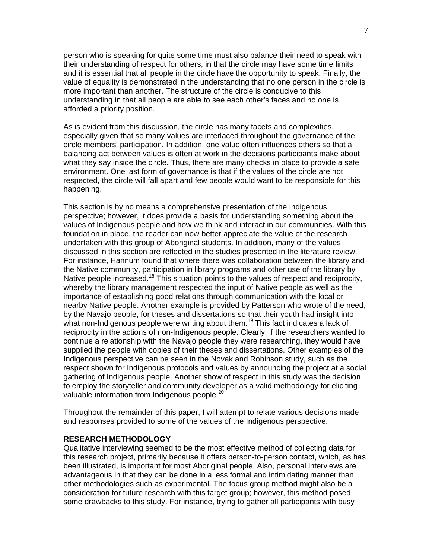person who is speaking for quite some time must also balance their need to speak with their understanding of respect for others, in that the circle may have some time limits and it is essential that all people in the circle have the opportunity to speak. Finally, the value of equality is demonstrated in the understanding that no one person in the circle is more important than another. The structure of the circle is conducive to this understanding in that all people are able to see each other's faces and no one is afforded a priority position.

As is evident from this discussion, the circle has many facets and complexities, especially given that so many values are interlaced throughout the governance of the circle members' participation. In addition, one value often influences others so that a balancing act between values is often at work in the decisions participants make about what they say inside the circle. Thus, there are many checks in place to provide a safe environment. One last form of governance is that if the values of the circle are not respected, the circle will fall apart and few people would want to be responsible for this happening.

This section is by no means a comprehensive presentation of the Indigenous perspective; however, it does provide a basis for understanding something about the values of Indigenous people and how we think and interact in our communities. With this foundation in place, the reader can now better appreciate the value of the research undertaken with this group of Aboriginal students. In addition, many of the values discussed in this section are reflected in the studies presented in the literature review. For instance, Hannum found that where there was collaboration between the library and the Native community, participation in library programs and other use of the library by Native people increased.<sup>18</sup> This situation points to the values of respect and reciprocity, whereby the library management respected the input of Native people as well as the importance of establishing good relations through communication with the local or nearby Native people. Another example is provided by Patterson who wrote of the need, by the Navajo people, for theses and dissertations so that their youth had insight into what non-Indigenous people were writing about them.<sup>19</sup> This fact indicates a lack of reciprocity in the actions of non-Indigenous people. Clearly, if the researchers wanted to continue a relationship with the Navajo people they were researching, they would have supplied the people with copies of their theses and dissertations. Other examples of the Indigenous perspective can be seen in the Novak and Robinson study, such as the respect shown for Indigenous protocols and values by announcing the project at a social gathering of Indigenous people. Another show of respect in this study was the decision to employ the storyteller and community developer as a valid methodology for eliciting valuable information from Indigenous people.<sup>20</sup>

Throughout the remainder of this paper, I will attempt to relate various decisions made and responses provided to some of the values of the Indigenous perspective.

### **RESEARCH METHODOLOGY**

Qualitative interviewing seemed to be the most effective method of collecting data for this research project, primarily because it offers person-to-person contact, which, as has been illustrated, is important for most Aboriginal people. Also, personal interviews are advantageous in that they can be done in a less formal and intimidating manner than other methodologies such as experimental. The focus group method might also be a consideration for future research with this target group; however, this method posed some drawbacks to this study. For instance, trying to gather all participants with busy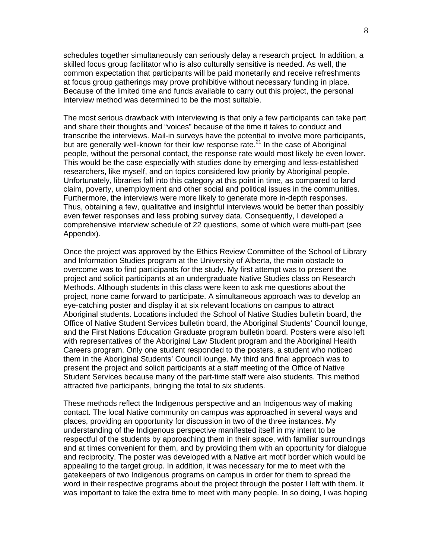schedules together simultaneously can seriously delay a research project. In addition, a skilled focus group facilitator who is also culturally sensitive is needed. As well, the common expectation that participants will be paid monetarily and receive refreshments at focus group gatherings may prove prohibitive without necessary funding in place. Because of the limited time and funds available to carry out this project, the personal interview method was determined to be the most suitable.

The most serious drawback with interviewing is that only a few participants can take part and share their thoughts and "voices" because of the time it takes to conduct and transcribe the interviews. Mail-in surveys have the potential to involve more participants, but are generally well-known for their low response rate.<sup>21</sup> In the case of Aboriginal people, without the personal contact, the response rate would most likely be even lower. This would be the case especially with studies done by emerging and less-established researchers, like myself, and on topics considered low priority by Aboriginal people. Unfortunately, libraries fall into this category at this point in time, as compared to land claim, poverty, unemployment and other social and political issues in the communities. Furthermore, the interviews were more likely to generate more in-depth responses. Thus, obtaining a few, qualitative and insightful interviews would be better than possibly even fewer responses and less probing survey data. Consequently, I developed a comprehensive interview schedule of 22 questions, some of which were multi-part (see Appendix).

Once the project was approved by the Ethics Review Committee of the School of Library and Information Studies program at the University of Alberta, the main obstacle to overcome was to find participants for the study. My first attempt was to present the project and solicit participants at an undergraduate Native Studies class on Research Methods. Although students in this class were keen to ask me questions about the project, none came forward to participate. A simultaneous approach was to develop an eye-catching poster and display it at six relevant locations on campus to attract Aboriginal students. Locations included the School of Native Studies bulletin board, the Office of Native Student Services bulletin board, the Aboriginal Students' Council lounge, and the First Nations Education Graduate program bulletin board. Posters were also left with representatives of the Aboriginal Law Student program and the Aboriginal Health Careers program. Only one student responded to the posters, a student who noticed them in the Aboriginal Students' Council lounge. My third and final approach was to present the project and solicit participants at a staff meeting of the Office of Native Student Services because many of the part-time staff were also students. This method attracted five participants, bringing the total to six students.

These methods reflect the Indigenous perspective and an Indigenous way of making contact. The local Native community on campus was approached in several ways and places, providing an opportunity for discussion in two of the three instances. My understanding of the Indigenous perspective manifested itself in my intent to be respectful of the students by approaching them in their space, with familiar surroundings and at times convenient for them, and by providing them with an opportunity for dialogue and reciprocity. The poster was developed with a Native art motif border which would be appealing to the target group. In addition, it was necessary for me to meet with the gatekeepers of two Indigenous programs on campus in order for them to spread the word in their respective programs about the project through the poster I left with them. It was important to take the extra time to meet with many people. In so doing, I was hoping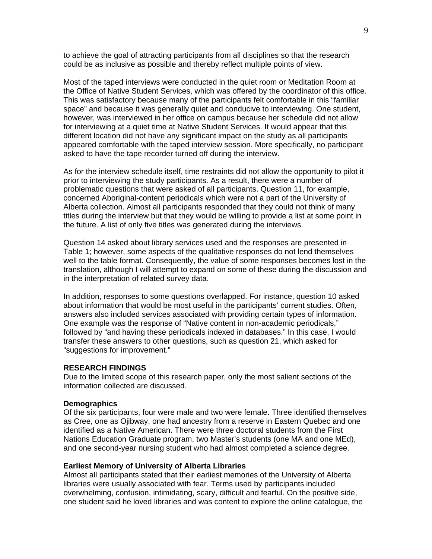to achieve the goal of attracting participants from all disciplines so that the research could be as inclusive as possible and thereby reflect multiple points of view.

Most of the taped interviews were conducted in the quiet room or Meditation Room at the Office of Native Student Services, which was offered by the coordinator of this office. This was satisfactory because many of the participants felt comfortable in this "familiar space" and because it was generally quiet and conducive to interviewing. One student, however, was interviewed in her office on campus because her schedule did not allow for interviewing at a quiet time at Native Student Services. It would appear that this different location did not have any significant impact on the study as all participants appeared comfortable with the taped interview session. More specifically, no participant asked to have the tape recorder turned off during the interview.

As for the interview schedule itself, time restraints did not allow the opportunity to pilot it prior to interviewing the study participants. As a result, there were a number of problematic questions that were asked of all participants. Question 11, for example, concerned Aboriginal-content periodicals which were not a part of the University of Alberta collection. Almost all participants responded that they could not think of many titles during the interview but that they would be willing to provide a list at some point in the future. A list of only five titles was generated during the interviews.

Question 14 asked about library services used and the responses are presented in Table 1; however, some aspects of the qualitative responses do not lend themselves well to the table format. Consequently, the value of some responses becomes lost in the translation, although I will attempt to expand on some of these during the discussion and in the interpretation of related survey data.

In addition, responses to some questions overlapped. For instance, question 10 asked about information that would be most useful in the participants' current studies. Often, answers also included services associated with providing certain types of information. One example was the response of "Native content in non-academic periodicals," followed by "and having these periodicals indexed in databases." In this case, I would transfer these answers to other questions, such as question 21, which asked for "suggestions for improvement."

#### **RESEARCH FINDINGS**

Due to the limited scope of this research paper, only the most salient sections of the information collected are discussed.

### **Demographics**

Of the six participants, four were male and two were female. Three identified themselves as Cree, one as Ojibway, one had ancestry from a reserve in Eastern Quebec and one identified as a Native American. There were three doctoral students from the First Nations Education Graduate program, two Master's students (one MA and one MEd), and one second-year nursing student who had almost completed a science degree.

#### **Earliest Memory of University of Alberta Libraries**

Almost all participants stated that their earliest memories of the University of Alberta libraries were usually associated with fear. Terms used by participants included overwhelming, confusion, intimidating, scary, difficult and fearful. On the positive side, one student said he loved libraries and was content to explore the online catalogue, the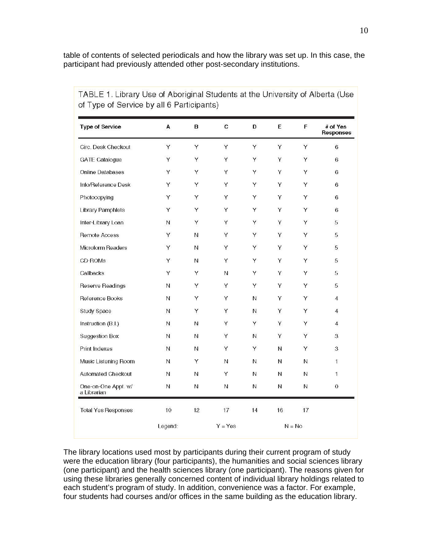table of contents of selected periodicals and how the library was set up. In this case, the participant had previously attended other post-secondary institutions.

| <b>Type of Service</b>             | A       | в                   | $\mathbf{C}$ | D           | E           | F  | # of Yes<br>Responses   |
|------------------------------------|---------|---------------------|--------------|-------------|-------------|----|-------------------------|
| Circ. Desk Checkout                | Υ       | Υ                   | Υ            | Y           | Υ           | Y  | 6                       |
| GATE Catalogue                     | Y       | Υ                   | Y            | Y           | Y           | Y  | 6                       |
| Online Databases                   | Υ       | Υ                   | Υ            | Y           | Υ           | Y  | 6                       |
| Info/Reference Desk                | Y       | Υ                   | Υ            | Υ           | Υ           | Y  | 6                       |
| Photocopying                       | Y       | Υ                   | Υ            | Υ           | Υ           | Y  | 6                       |
| <b>Library Pamphlets</b>           | Y       | Y                   | Y            | Y           | Y           | Y  | 6                       |
| Inter-Library Loan                 | N       | Υ                   | Υ            | Y           | Υ           | Υ  | 5                       |
| Remote Access                      | Y       | N                   | Υ            | Y           | Υ           | Y  | 5                       |
| Microform Readers                  | Υ       | $\mathsf{N}\xspace$ | Υ            | Y           | Υ           | Y  | 5                       |
| CD-ROMs                            | Y       | Ν                   | Υ            | Y           | Υ           | Y  | 5                       |
| Callbacks                          | Y       | Υ                   | N            | Y           | Υ           | Y  | 5                       |
| Reserve Readings                   | N       | Υ                   | Υ            | Y           | Υ           | Y  | 5                       |
| Reference Books                    | N       | Υ                   | Υ            | N           | Υ           | Y  | $\overline{4}$          |
| Study Space                        | И       | Υ                   | Υ            | $\mathsf N$ | Υ           | Υ  | $\overline{\mathbf{4}}$ |
| Instruction (B.I.)                 | N       | N                   | Υ            | Y           | Υ           | Υ  | $\overline{\mathbf{4}}$ |
| <b>Suggestion Box</b>              | И       | N                   | Υ            | N           | Υ           | Y  | 3                       |
| Print Indexes                      | N       | $\mathsf N$         | Y            | Y           | $\mathsf N$ | Y  | 3                       |
| Music Listening Room               | Ν       | Υ                   | N            | Ν           | N           | N  | 1                       |
| Automated Checkout                 | N       | Ν                   | Υ            | N           | Ν           | N  | $\mathbf{1}$            |
| One-on-One Appt. w/<br>a Librarian | N       | N                   | N            | N           | N           | N  | $\,0\,$                 |
| <b>Total Yes Responses</b>         | 10      | 12                  | 17           | 14          | 16          | 17 |                         |
|                                    | Legend: |                     | $Y = Yes$    |             | $N = No$    |    |                         |

TABLE 1. Library Use of Aboriginal Students at the University of Alberta (Use of Tuno of Sonrico by all & Participante)

The library locations used most by participants during their current program of study were the education library (four participants), the humanities and social sciences library (one participant) and the health sciences library (one participant). The reasons given for using these libraries generally concerned content of individual library holdings related to each student's program of study. In addition, convenience was a factor. For example, four students had courses and/or offices in the same building as the education library.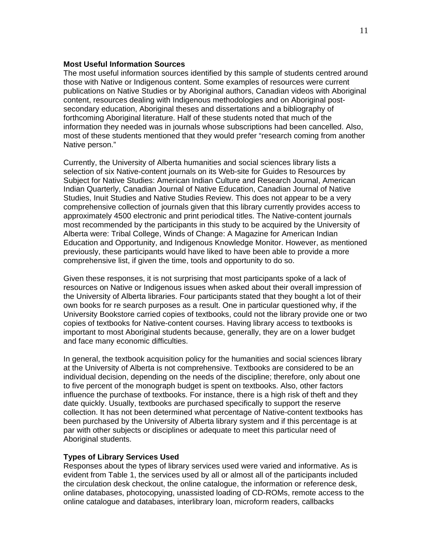### **Most Useful Information Sources**

The most useful information sources identified by this sample of students centred around those with Native or Indigenous content. Some examples of resources were current publications on Native Studies or by Aboriginal authors, Canadian videos with Aboriginal content, resources dealing with Indigenous methodologies and on Aboriginal postsecondary education, Aboriginal theses and dissertations and a bibliography of forthcoming Aboriginal literature. Half of these students noted that much of the information they needed was in journals whose subscriptions had been cancelled. Also, most of these students mentioned that they would prefer "research coming from another Native person."

Currently, the University of Alberta humanities and social sciences library lists a selection of six Native-content journals on its Web-site for Guides to Resources by Subject for Native Studies: American Indian Culture and Research Journal, American Indian Quarterly, Canadian Journal of Native Education, Canadian Journal of Native Studies, Inuit Studies and Native Studies Review. This does not appear to be a very comprehensive collection of journals given that this library currently provides access to approximately 4500 electronic and print periodical titles. The Native-content journals most recommended by the participants in this study to be acquired by the University of Alberta were: Tribal College, Winds of Change: A Magazine for American Indian Education and Opportunity, and Indigenous Knowledge Monitor. However, as mentioned previously, these participants would have liked to have been able to provide a more comprehensive list, if given the time, tools and opportunity to do so.

Given these responses, it is not surprising that most participants spoke of a lack of resources on Native or Indigenous issues when asked about their overall impression of the University of Alberta libraries. Four participants stated that they bought a lot of their own books for re search purposes as a result. One in particular questioned why, if the University Bookstore carried copies of textbooks, could not the library provide one or two copies of textbooks for Native-content courses. Having library access to textbooks is important to most Aboriginal students because, generally, they are on a lower budget and face many economic difficulties.

In general, the textbook acquisition policy for the humanities and social sciences library at the University of Alberta is not comprehensive. Textbooks are considered to be an individual decision, depending on the needs of the discipline; therefore, only about one to five percent of the monograph budget is spent on textbooks. Also, other factors influence the purchase of textbooks. For instance, there is a high risk of theft and they date quickly. Usually, textbooks are purchased specifically to support the reserve collection. It has not been determined what percentage of Native-content textbooks has been purchased by the University of Alberta library system and if this percentage is at par with other subjects or disciplines or adequate to meet this particular need of Aboriginal students.

#### **Types of Library Services Used**

Responses about the types of library services used were varied and informative. As is evident from Table 1, the services used by all or almost all of the participants included the circulation desk checkout, the online catalogue, the information or reference desk, online databases, photocopying, unassisted loading of CD-ROMs, remote access to the online catalogue and databases, interlibrary loan, microform readers, callbacks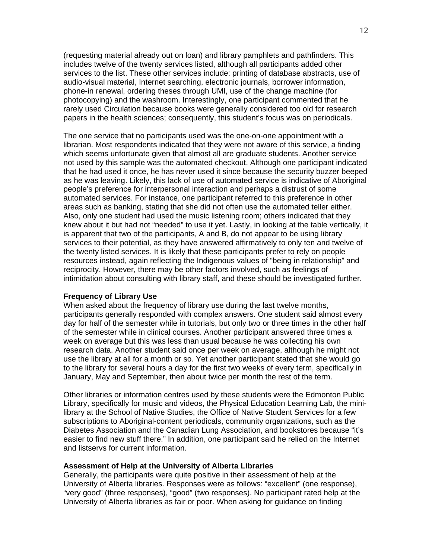(requesting material already out on loan) and library pamphlets and pathfinders. This includes twelve of the twenty services listed, although all participants added other services to the list. These other services include: printing of database abstracts, use of audio-visual material, Internet searching, electronic journals, borrower information, phone-in renewal, ordering theses through UMI, use of the change machine (for photocopying) and the washroom. Interestingly, one participant commented that he rarely used Circulation because books were generally considered too old for research papers in the health sciences; consequently, this student's focus was on periodicals.

The one service that no participants used was the one-on-one appointment with a librarian. Most respondents indicated that they were not aware of this service, a finding which seems unfortunate given that almost all are graduate students. Another service not used by this sample was the automated checkout. Although one participant indicated that he had used it once, he has never used it since because the security buzzer beeped as he was leaving. Likely, this lack of use of automated service is indicative of Aboriginal people's preference for interpersonal interaction and perhaps a distrust of some automated services. For instance, one participant referred to this preference in other areas such as banking, stating that she did not often use the automated teller either. Also, only one student had used the music listening room; others indicated that they knew about it but had not "needed" to use it yet. Lastly, in looking at the table vertically, it is apparent that two of the participants, A and B, do not appear to be using library services to their potential, as they have answered affirmatively to only ten and twelve of the twenty listed services. It is likely that these participants prefer to rely on people resources instead, again reflecting the Indigenous values of "being in relationship" and reciprocity. However, there may be other factors involved, such as feelings of intimidation about consulting with library staff, and these should be investigated further.

#### **Frequency of Library Use**

When asked about the frequency of library use during the last twelve months, participants generally responded with complex answers. One student said almost every day for half of the semester while in tutorials, but only two or three times in the other half of the semester while in clinical courses. Another participant answered three times a week on average but this was less than usual because he was collecting his own research data. Another student said once per week on average, although he might not use the library at all for a month or so. Yet another participant stated that she would go to the library for several hours a day for the first two weeks of every term, specifically in January, May and September, then about twice per month the rest of the term.

Other libraries or information centres used by these students were the Edmonton Public Library, specifically for music and videos, the Physical Education Learning Lab, the minilibrary at the School of Native Studies, the Office of Native Student Services for a few subscriptions to Aboriginal-content periodicals, community organizations, such as the Diabetes Association and the Canadian Lung Association, and bookstores because "it's easier to find new stuff there." In addition, one participant said he relied on the Internet and listservs for current information.

## **Assessment of Help at the University of Alberta Libraries**

Generally, the participants were quite positive in their assessment of help at the University of Alberta libraries. Responses were as follows: "excellent" (one response), "very good" (three responses), "good" (two responses). No participant rated help at the University of Alberta libraries as fair or poor. When asking for guidance on finding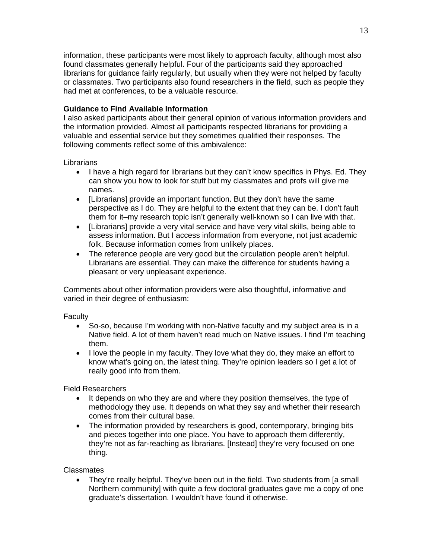information, these participants were most likely to approach faculty, although most also found classmates generally helpful. Four of the participants said they approached librarians for guidance fairly regularly, but usually when they were not helped by faculty or classmates. Two participants also found researchers in the field, such as people they had met at conferences, to be a valuable resource.

# **Guidance to Find Available Information**

I also asked participants about their general opinion of various information providers and the information provided. Almost all participants respected librarians for providing a valuable and essential service but they sometimes qualified their responses. The following comments reflect some of this ambivalence:

## **Librarians**

- I have a high regard for librarians but they can't know specifics in Phys. Ed. They can show you how to look for stuff but my classmates and profs will give me names.
- [Librarians] provide an important function. But they don't have the same perspective as I do. They are helpful to the extent that they can be. I don't fault them for it–my research topic isn't generally well-known so I can live with that.
- [Librarians] provide a very vital service and have very vital skills, being able to assess information. But I access information from everyone, not just academic folk. Because information comes from unlikely places.
- The reference people are very good but the circulation people aren't helpful. Librarians are essential. They can make the difference for students having a pleasant or very unpleasant experience.

Comments about other information providers were also thoughtful, informative and varied in their degree of enthusiasm:

# **Faculty**

- So-so, because I'm working with non-Native faculty and my subject area is in a Native field. A lot of them haven't read much on Native issues. I find I'm teaching them.
- I love the people in my faculty. They love what they do, they make an effort to know what's going on, the latest thing. They're opinion leaders so I get a lot of really good info from them.

Field Researchers

- It depends on who they are and where they position themselves, the type of methodology they use. It depends on what they say and whether their research comes from their cultural base.
- The information provided by researchers is good, contemporary, bringing bits and pieces together into one place. You have to approach them differently, they're not as far-reaching as librarians. [Instead] they're very focused on one thing.

**Classmates** 

• They're really helpful. They've been out in the field. Two students from [a small Northern community] with quite a few doctoral graduates gave me a copy of one graduate's dissertation. I wouldn't have found it otherwise.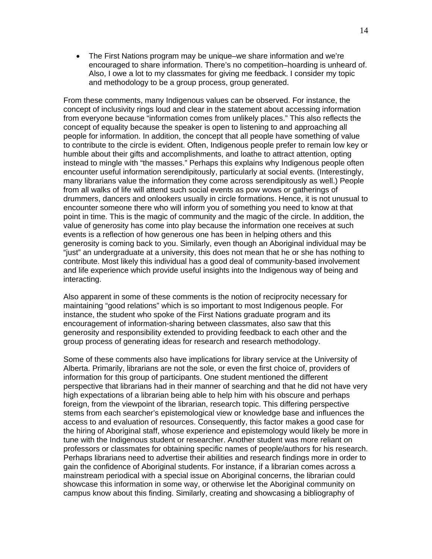• The First Nations program may be unique–we share information and we're encouraged to share information. There's no competition–hoarding is unheard of. Also, I owe a lot to my classmates for giving me feedback. I consider my topic and methodology to be a group process, group generated.

From these comments, many Indigenous values can be observed. For instance, the concept of inclusivity rings loud and clear in the statement about accessing information from everyone because "information comes from unlikely places." This also reflects the concept of equality because the speaker is open to listening to and approaching all people for information. In addition, the concept that all people have something of value to contribute to the circle is evident. Often, Indigenous people prefer to remain low key or humble about their gifts and accomplishments, and loathe to attract attention, opting instead to mingle with "the masses." Perhaps this explains why Indigenous people often encounter useful information serendipitously, particularly at social events. (Interestingly, many librarians value the information they come across serendipitously as well.) People from all walks of life will attend such social events as pow wows or gatherings of drummers, dancers and onlookers usually in circle formations. Hence, it is not unusual to encounter someone there who will inform you of something you need to know at that point in time. This is the magic of community and the magic of the circle. In addition, the value of generosity has come into play because the information one receives at such events is a reflection of how generous one has been in helping others and this generosity is coming back to you. Similarly, even though an Aboriginal individual may be "just" an undergraduate at a university, this does not mean that he or she has nothing to contribute. Most likely this individual has a good deal of community-based involvement and life experience which provide useful insights into the Indigenous way of being and interacting.

Also apparent in some of these comments is the notion of reciprocity necessary for maintaining "good relations" which is so important to most Indigenous people. For instance, the student who spoke of the First Nations graduate program and its encouragement of information-sharing between classmates, also saw that this generosity and responsibility extended to providing feedback to each other and the group process of generating ideas for research and research methodology.

Some of these comments also have implications for library service at the University of Alberta. Primarily, librarians are not the sole, or even the first choice of, providers of information for this group of participants. One student mentioned the different perspective that librarians had in their manner of searching and that he did not have very high expectations of a librarian being able to help him with his obscure and perhaps foreign, from the viewpoint of the librarian, research topic. This differing perspective stems from each searcher's epistemological view or knowledge base and influences the access to and evaluation of resources. Consequently, this factor makes a good case for the hiring of Aboriginal staff, whose experience and epistemology would likely be more in tune with the Indigenous student or researcher. Another student was more reliant on professors or classmates for obtaining specific names of people/authors for his research. Perhaps librarians need to advertise their abilities and research findings more in order to gain the confidence of Aboriginal students. For instance, if a librarian comes across a mainstream periodical with a special issue on Aboriginal concerns, the librarian could showcase this information in some way, or otherwise let the Aboriginal community on campus know about this finding. Similarly, creating and showcasing a bibliography of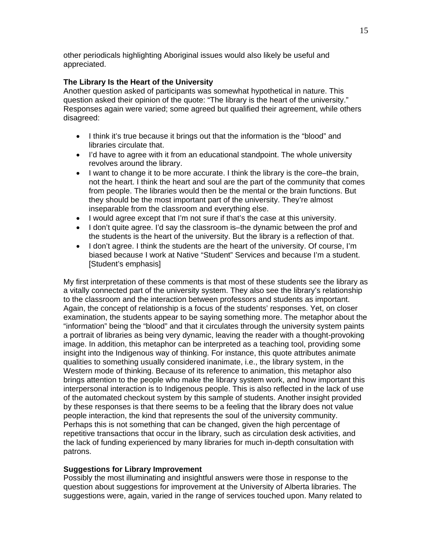other periodicals highlighting Aboriginal issues would also likely be useful and appreciated.

# **The Library Is the Heart of the University**

Another question asked of participants was somewhat hypothetical in nature. This question asked their opinion of the quote: "The library is the heart of the university." Responses again were varied; some agreed but qualified their agreement, while others disagreed:

- I think it's true because it brings out that the information is the "blood" and libraries circulate that.
- I'd have to agree with it from an educational standpoint. The whole university revolves around the library.
- I want to change it to be more accurate. I think the library is the core–the brain, not the heart. I think the heart and soul are the part of the community that comes from people. The libraries would then be the mental or the brain functions. But they should be the most important part of the university. They're almost inseparable from the classroom and everything else.
- I would agree except that I'm not sure if that's the case at this university.
- I don't quite agree. I'd say the classroom is–the dynamic between the prof and the students is the heart of the university. But the library is a reflection of that.
- I don't agree. I think the students are the heart of the university. Of course, I'm biased because I work at Native "Student" Services and because I'm a student. [Student's emphasis]

My first interpretation of these comments is that most of these students see the library as a vitally connected part of the university system. They also see the library's relationship to the classroom and the interaction between professors and students as important. Again, the concept of relationship is a focus of the students' responses. Yet, on closer examination, the students appear to be saying something more. The metaphor about the "information" being the "blood" and that it circulates through the university system paints a portrait of libraries as being very dynamic, leaving the reader with a thought-provoking image. In addition, this metaphor can be interpreted as a teaching tool, providing some insight into the Indigenous way of thinking. For instance, this quote attributes animate qualities to something usually considered inanimate, i.e., the library system, in the Western mode of thinking. Because of its reference to animation, this metaphor also brings attention to the people who make the library system work, and how important this interpersonal interaction is to Indigenous people. This is also reflected in the lack of use of the automated checkout system by this sample of students. Another insight provided by these responses is that there seems to be a feeling that the library does not value people interaction, the kind that represents the soul of the university community. Perhaps this is not something that can be changed, given the high percentage of repetitive transactions that occur in the library, such as circulation desk activities, and the lack of funding experienced by many libraries for much in-depth consultation with patrons.

## **Suggestions for Library Improvement**

Possibly the most illuminating and insightful answers were those in response to the question about suggestions for improvement at the University of Alberta libraries. The suggestions were, again, varied in the range of services touched upon. Many related to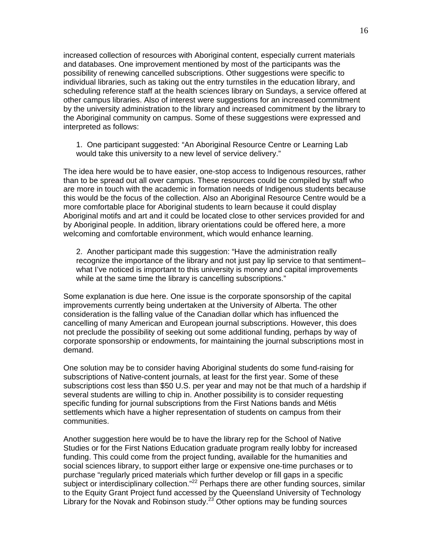increased collection of resources with Aboriginal content, especially current materials and databases. One improvement mentioned by most of the participants was the possibility of renewing cancelled subscriptions. Other suggestions were specific to individual libraries, such as taking out the entry turnstiles in the education library, and scheduling reference staff at the health sciences library on Sundays, a service offered at other campus libraries. Also of interest were suggestions for an increased commitment by the university administration to the library and increased commitment by the library to the Aboriginal community on campus. Some of these suggestions were expressed and interpreted as follows:

1. One participant suggested: "An Aboriginal Resource Centre or Learning Lab would take this university to a new level of service delivery."

The idea here would be to have easier, one-stop access to Indigenous resources, rather than to be spread out all over campus. These resources could be compiled by staff who are more in touch with the academic in formation needs of Indigenous students because this would be the focus of the collection. Also an Aboriginal Resource Centre would be a more comfortable place for Aboriginal students to learn because it could display Aboriginal motifs and art and it could be located close to other services provided for and by Aboriginal people. In addition, library orientations could be offered here, a more welcoming and comfortable environment, which would enhance learning.

2. Another participant made this suggestion: "Have the administration really recognize the importance of the library and not just pay lip service to that sentiment– what I've noticed is important to this university is money and capital improvements while at the same time the library is cancelling subscriptions."

Some explanation is due here. One issue is the corporate sponsorship of the capital improvements currently being undertaken at the University of Alberta. The other consideration is the falling value of the Canadian dollar which has influenced the cancelling of many American and European journal subscriptions. However, this does not preclude the possibility of seeking out some additional funding, perhaps by way of corporate sponsorship or endowments, for maintaining the journal subscriptions most in demand.

One solution may be to consider having Aboriginal students do some fund-raising for subscriptions of Native-content journals, at least for the first year. Some of these subscriptions cost less than \$50 U.S. per year and may not be that much of a hardship if several students are willing to chip in. Another possibility is to consider requesting specific funding for journal subscriptions from the First Nations bands and Métis settlements which have a higher representation of students on campus from their communities.

Another suggestion here would be to have the library rep for the School of Native Studies or for the First Nations Education graduate program really lobby for increased funding. This could come from the project funding, available for the humanities and social sciences library, to support either large or expensive one-time purchases or to purchase "regularly priced materials which further develop or fill gaps in a specific subject or interdisciplinary collection."<sup>22</sup> Perhaps there are other funding sources, similar to the Equity Grant Project fund accessed by the Queensland University of Technology Library for the Novak and Robinson study.<sup>23</sup> Other options may be funding sources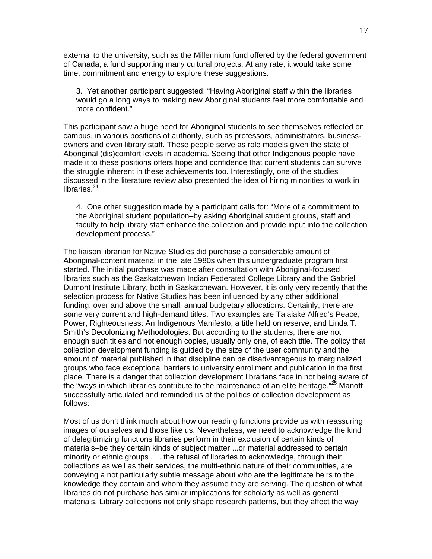external to the university, such as the Millennium fund offered by the federal government of Canada, a fund supporting many cultural projects. At any rate, it would take some time, commitment and energy to explore these suggestions.

3. Yet another participant suggested: "Having Aboriginal staff within the libraries would go a long ways to making new Aboriginal students feel more comfortable and more confident."

This participant saw a huge need for Aboriginal students to see themselves reflected on campus, in various positions of authority, such as professors, administrators, businessowners and even library staff. These people serve as role models given the state of Aboriginal (dis)comfort levels in academia. Seeing that other Indigenous people have made it to these positions offers hope and confidence that current students can survive the struggle inherent in these achievements too. Interestingly, one of the studies discussed in the literature review also presented the idea of hiring minorities to work in libraries. $^{24}$ 

4. One other suggestion made by a participant calls for: "More of a commitment to the Aboriginal student population–by asking Aboriginal student groups, staff and faculty to help library staff enhance the collection and provide input into the collection development process."

The liaison librarian for Native Studies did purchase a considerable amount of Aboriginal-content material in the late 1980s when this undergraduate program first started. The initial purchase was made after consultation with Aboriginal-focused libraries such as the Saskatchewan Indian Federated College Library and the Gabriel Dumont Institute Library, both in Saskatchewan. However, it is only very recently that the selection process for Native Studies has been influenced by any other additional funding, over and above the small, annual budgetary allocations. Certainly, there are some very current and high-demand titles. Two examples are Taiaiake Alfred's Peace, Power, Righteousness: An Indigenous Manifesto, a title held on reserve, and Linda T. Smith's Decolonizing Methodologies. But according to the students, there are not enough such titles and not enough copies, usually only one, of each title. The policy that collection development funding is guided by the size of the user community and the amount of material published in that discipline can be disadvantageous to marginalized groups who face exceptional barriers to university enrollment and publication in the first place. There is a danger that collection development librarians face in not being aware of the "ways in which libraries contribute to the maintenance of an elite heritage."<sup>25</sup> Manoff successfully articulated and reminded us of the politics of collection development as follows:

Most of us don't think much about how our reading functions provide us with reassuring images of ourselves and those like us. Nevertheless, we need to acknowledge the kind of delegitimizing functions libraries perform in their exclusion of certain kinds of materials–be they certain kinds of subject matter ...or material addressed to certain minority or ethnic groups . . . the refusal of libraries to acknowledge, through their collections as well as their services, the multi-ethnic nature of their communities, are conveying a not particularly subtle message about who are the legitimate heirs to the knowledge they contain and whom they assume they are serving. The question of what libraries do not purchase has similar implications for scholarly as well as general materials. Library collections not only shape research patterns, but they affect the way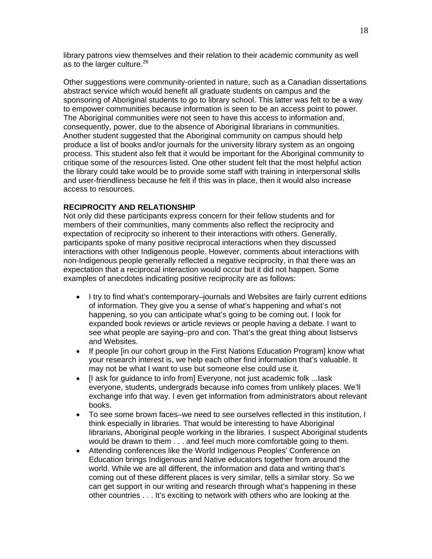library patrons view themselves and their relation to their academic community as well as to the larger culture.<sup>26</sup>

Other suggestions were community-oriented in nature, such as a Canadian dissertations abstract service which would benefit all graduate students on campus and the sponsoring of Aboriginal students to go to library school. This latter was felt to be a way to empower communities because information is seen to be an access point to power. The Aboriginal communities were not seen to have this access to information and, consequently, power, due to the absence of Aboriginal librarians in communities. Another student suggested that the Aboriginal community on campus should help produce a list of books and/or journals for the university library system as an ongoing process. This student also felt that it would be important for the Aboriginal community to critique some of the resources listed. One other student felt that the most helpful action the library could take would be to provide some staff with training in interpersonal skills and user-friendliness because he felt if this was in place, then it would also increase access to resources.

## **RECIPROCITY AND RELATIONSHIP**

Not only did these participants express concern for their fellow students and for members of their communities, many comments also reflect the reciprocity and expectation of reciprocity so inherent to their interactions with others. Generally, participants spoke of many positive reciprocal interactions when they discussed interactions with other Indigenous people. However, comments about interactions with non-Indigenous people generally reflected a negative reciprocity, in that there was an expectation that a reciprocal interaction would occur but it did not happen. Some examples of anecdotes indicating positive reciprocity are as follows:

- I try to find what's contemporary–journals and Websites are fairly current editions of information. They give you a sense of what's happening and what's not happening, so you can anticipate what's going to be coming out. I look for expanded book reviews or article reviews or people having a debate. I want to see what people are saying–pro and con. That's the great thing about listservs and Websites.
- If people [in our cohort group in the First Nations Education Program] know what your research interest is, we help each other find information that's valuable. It may not be what I want to use but someone else could use it.
- [I ask for guidance to info from] Everyone, not just academic folk ...Iask everyone, students, undergrads because info comes from unlikely places. We'll exchange info that way. I even get information from administrators about relevant books.
- To see some brown faces–we need to see ourselves reflected in this institution, I think especially in libraries. That would be interesting to have Aboriginal librarians, Aboriginal people working in the libraries. I suspect Aboriginal students would be drawn to them . . . and feel much more comfortable going to them.
- Attending conferences like the World Indigenous Peoples' Conference on Education brings Indigenous and Native educators together from around the world. While we are all different, the information and data and writing that's coming out of these different places is very similar, tells a similar story. So we can get support in our writing and research through what's happening in these other countries . . . It's exciting to network with others who are looking at the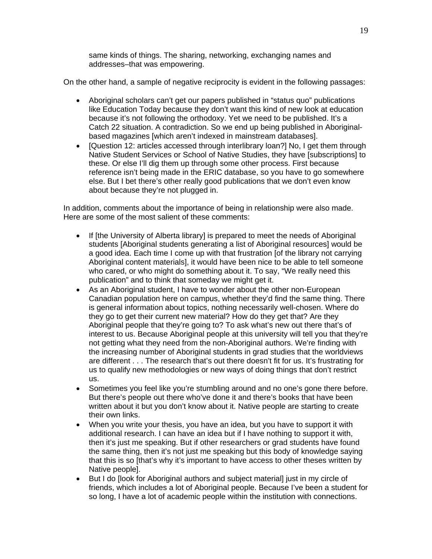same kinds of things. The sharing, networking, exchanging names and addresses–that was empowering.

On the other hand, a sample of negative reciprocity is evident in the following passages:

- Aboriginal scholars can't get our papers published in "status quo" publications like Education Today because they don't want this kind of new look at education because it's not following the orthodoxy. Yet we need to be published. It's a Catch 22 situation. A contradiction. So we end up being published in Aboriginalbased magazines [which aren't indexed in mainstream databases].
- [Question 12: articles accessed through interlibrary loan?] No, I get them through Native Student Services or School of Native Studies, they have [subscriptions] to these. Or else I'll dig them up through some other process. First because reference isn't being made in the ERIC database, so you have to go somewhere else. But I bet there's other really good publications that we don't even know about because they're not plugged in.

In addition, comments about the importance of being in relationship were also made. Here are some of the most salient of these comments:

- If [the University of Alberta library] is prepared to meet the needs of Aboriginal students [Aboriginal students generating a list of Aboriginal resources] would be a good idea. Each time I come up with that frustration [of the library not carrying Aboriginal content materials], it would have been nice to be able to tell someone who cared, or who might do something about it. To say, "We really need this publication" and to think that someday we might get it.
- As an Aboriginal student, I have to wonder about the other non-European Canadian population here on campus, whether they'd find the same thing. There is general information about topics, nothing necessarily well-chosen. Where do they go to get their current new material? How do they get that? Are they Aboriginal people that they're going to? To ask what's new out there that's of interest to us. Because Aboriginal people at this university will tell you that they're not getting what they need from the non-Aboriginal authors. We're finding with the increasing number of Aboriginal students in grad studies that the worldviews are different . . . The research that's out there doesn't fit for us. It's frustrating for us to qualify new methodologies or new ways of doing things that don't restrict us.
- Sometimes you feel like you're stumbling around and no one's gone there before. But there's people out there who've done it and there's books that have been written about it but you don't know about it. Native people are starting to create their own links.
- When you write your thesis, you have an idea, but you have to support it with additional research. I can have an idea but if I have nothing to support it with, then it's just me speaking. But if other researchers or grad students have found the same thing, then it's not just me speaking but this body of knowledge saying that this is so [that's why it's important to have access to other theses written by Native people].
- But I do [look for Aboriginal authors and subject material] just in my circle of friends, which includes a lot of Aboriginal people. Because I've been a student for so long, I have a lot of academic people within the institution with connections.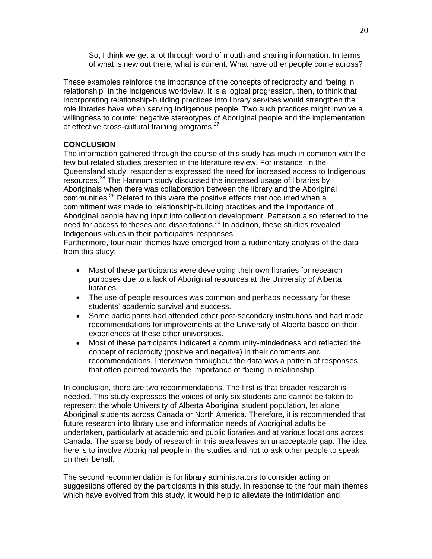So, I think we get a lot through word of mouth and sharing information. In terms of what is new out there, what is current. What have other people come across?

These examples reinforce the importance of the concepts of reciprocity and "being in relationship" in the Indigenous worldview. It is a logical progression, then, to think that incorporating relationship-building practices into library services would strengthen the role libraries have when serving Indigenous people. Two such practices might involve a willingness to counter negative stereotypes of Aboriginal people and the implementation of effective cross-cultural training programs.<sup>27</sup>

# **CONCLUSION**

The information gathered through the course of this study has much in common with the few but related studies presented in the literature review. For instance, in the Queensland study, respondents expressed the need for increased access to Indigenous resources.<sup>28</sup> The Hannum study discussed the increased usage of libraries by Aboriginals when there was collaboration between the library and the Aboriginal communities.<sup>29</sup> Related to this were the positive effects that occurred when a commitment was made to relationship-building practices and the importance of Aboriginal people having input into collection development. Patterson also referred to the need for access to theses and dissertations.<sup>30</sup> In addition, these studies revealed Indigenous values in their participants' responses.

Furthermore, four main themes have emerged from a rudimentary analysis of the data from this study:

- Most of these participants were developing their own libraries for research purposes due to a lack of Aboriginal resources at the University of Alberta libraries.
- The use of people resources was common and perhaps necessary for these students' academic survival and success.
- Some participants had attended other post-secondary institutions and had made recommendations for improvements at the University of Alberta based on their experiences at these other universities.
- Most of these participants indicated a community-mindedness and reflected the concept of reciprocity (positive and negative) in their comments and recommendations. Interwoven throughout the data was a pattern of responses that often pointed towards the importance of "being in relationship."

In conclusion, there are two recommendations. The first is that broader research is needed. This study expresses the voices of only six students and cannot be taken to represent the whole University of Alberta Aboriginal student population, let alone Aboriginal students across Canada or North America. Therefore, it is recommended that future research into library use and information needs of Aboriginal adults be undertaken, particularly at academic and public libraries and at various locations across Canada. The sparse body of research in this area leaves an unacceptable gap. The idea here is to involve Aboriginal people in the studies and not to ask other people to speak on their behalf.

The second recommendation is for library administrators to consider acting on suggestions offered by the participants in this study. In response to the four main themes which have evolved from this study, it would help to alleviate the intimidation and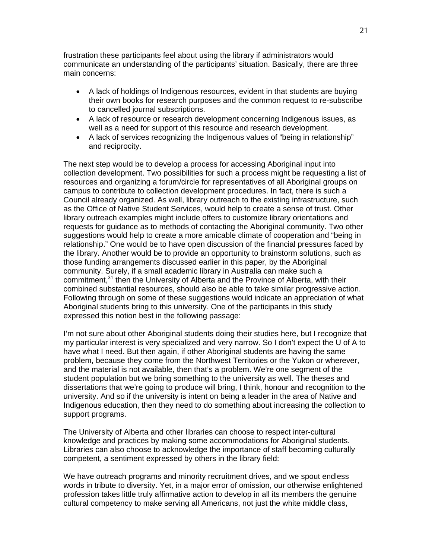frustration these participants feel about using the library if administrators would communicate an understanding of the participants' situation. Basically, there are three main concerns:

- A lack of holdings of Indigenous resources, evident in that students are buying their own books for research purposes and the common request to re-subscribe to cancelled journal subscriptions.
- A lack of resource or research development concerning Indigenous issues, as well as a need for support of this resource and research development.
- A lack of services recognizing the Indigenous values of "being in relationship" and reciprocity.

The next step would be to develop a process for accessing Aboriginal input into collection development. Two possibilities for such a process might be requesting a list of resources and organizing a forum/circle for representatives of all Aboriginal groups on campus to contribute to collection development procedures. In fact, there is such a Council already organized. As well, library outreach to the existing infrastructure, such as the Office of Native Student Services, would help to create a sense of trust. Other library outreach examples might include offers to customize library orientations and requests for guidance as to methods of contacting the Aboriginal community. Two other suggestions would help to create a more amicable climate of cooperation and "being in relationship." One would be to have open discussion of the financial pressures faced by the library. Another would be to provide an opportunity to brainstorm solutions, such as those funding arrangements discussed earlier in this paper, by the Aboriginal community. Surely, if a small academic library in Australia can make such a commitment,<sup>31</sup> then the University of Alberta and the Province of Alberta, with their combined substantial resources, should also be able to take similar progressive action. Following through on some of these suggestions would indicate an appreciation of what Aboriginal students bring to this university. One of the participants in this study expressed this notion best in the following passage:

I'm not sure about other Aboriginal students doing their studies here, but I recognize that my particular interest is very specialized and very narrow. So I don't expect the U of A to have what I need. But then again, if other Aboriginal students are having the same problem, because they come from the Northwest Territories or the Yukon or wherever, and the material is not available, then that's a problem. We're one segment of the student population but we bring something to the university as well. The theses and dissertations that we're going to produce will bring, I think, honour and recognition to the university. And so if the university is intent on being a leader in the area of Native and Indigenous education, then they need to do something about increasing the collection to support programs.

The University of Alberta and other libraries can choose to respect inter-cultural knowledge and practices by making some accommodations for Aboriginal students. Libraries can also choose to acknowledge the importance of staff becoming culturally competent, a sentiment expressed by others in the library field:

We have outreach programs and minority recruitment drives, and we spout endless words in tribute to diversity. Yet, in a major error of omission, our otherwise enlightened profession takes little truly affirmative action to develop in all its members the genuine cultural competency to make serving all Americans, not just the white middle class,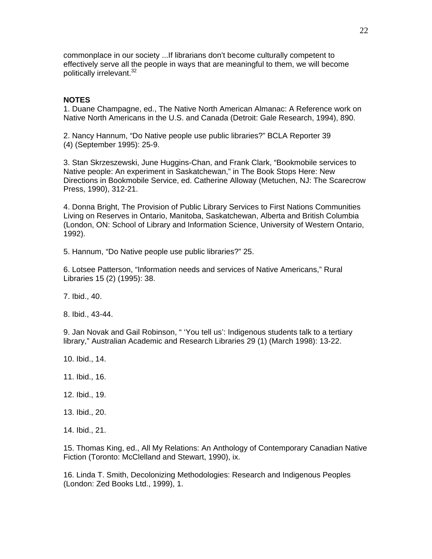commonplace in our society ...If librarians don't become culturally competent to effectively serve all the people in ways that are meaningful to them, we will become politically irrelevant.<sup>32</sup>

## **NOTES**

1. Duane Champagne, ed., The Native North American Almanac: A Reference work on Native North Americans in the U.S. and Canada (Detroit: Gale Research, 1994), 890.

2. Nancy Hannum, "Do Native people use public libraries?" BCLA Reporter 39 (4) (September 1995): 25-9.

3. Stan Skrzeszewski, June Huggins-Chan, and Frank Clark, "Bookmobile services to Native people: An experiment in Saskatchewan," in The Book Stops Here: New Directions in Bookmobile Service, ed. Catherine Alloway (Metuchen, NJ: The Scarecrow Press, 1990), 312-21.

4. Donna Bright, The Provision of Public Library Services to First Nations Communities Living on Reserves in Ontario, Manitoba, Saskatchewan, Alberta and British Columbia (London, ON: School of Library and Information Science, University of Western Ontario, 1992).

5. Hannum, "Do Native people use public libraries?" 25.

6. Lotsee Patterson, "Information needs and services of Native Americans," Rural Libraries 15 (2) (1995): 38.

7. Ibid., 40.

8. Ibid., 43-44.

9. Jan Novak and Gail Robinson, " 'You tell us': Indigenous students talk to a tertiary library," Australian Academic and Research Libraries 29 (1) (March 1998): 13-22.

- 10. Ibid., 14.
- 11. Ibid., 16.
- 12. Ibid., 19.
- 13. Ibid., 20.
- 14. Ibid., 21.

15. Thomas King, ed., All My Relations: An Anthology of Contemporary Canadian Native Fiction (Toronto: McClelland and Stewart, 1990), ix.

16. Linda T. Smith, Decolonizing Methodologies: Research and Indigenous Peoples (London: Zed Books Ltd., 1999), 1.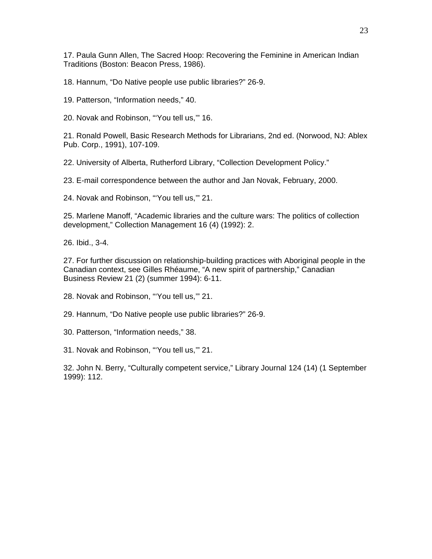17. Paula Gunn Allen, The Sacred Hoop: Recovering the Feminine in American Indian Traditions (Boston: Beacon Press, 1986).

18. Hannum, "Do Native people use public libraries?" 26-9.

19. Patterson, "Information needs," 40.

20. Novak and Robinson, "'You tell us,'" 16.

21. Ronald Powell, Basic Research Methods for Librarians, 2nd ed. (Norwood, NJ: Ablex Pub. Corp., 1991), 107-109.

22. University of Alberta, Rutherford Library, "Collection Development Policy."

23. E-mail correspondence between the author and Jan Novak, February, 2000.

24. Novak and Robinson, "'You tell us,'" 21.

25. Marlene Manoff, "Academic libraries and the culture wars: The politics of collection development," Collection Management 16 (4) (1992): 2.

26. Ibid., 3-4.

27. For further discussion on relationship-building practices with Aboriginal people in the Canadian context, see Gilles Rhéaume, "A new spirit of partnership," Canadian Business Review 21 (2) (summer 1994): 6-11.

28. Novak and Robinson, "'You tell us,'" 21.

29. Hannum, "Do Native people use public libraries?" 26-9.

30. Patterson, "Information needs," 38.

31. Novak and Robinson, "'You tell us,'" 21.

32. John N. Berry, "Culturally competent service," Library Journal 124 (14) (1 September 1999): 112.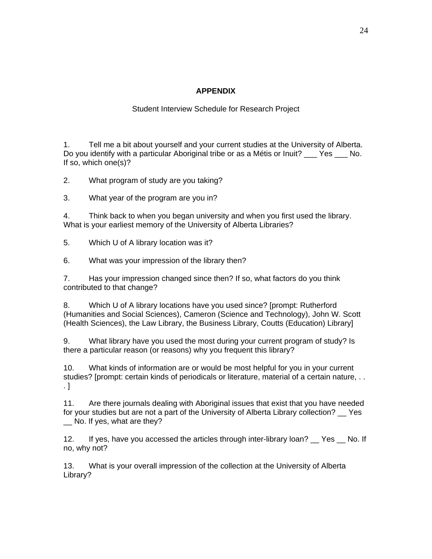# **APPENDIX**

# Student Interview Schedule for Research Project

1. Tell me a bit about yourself and your current studies at the University of Alberta. Do you identify with a particular Aboriginal tribe or as a Métis or Inuit? Yes No. If so, which one(s)?

2. What program of study are you taking?

3. What year of the program are you in?

4. Think back to when you began university and when you first used the library. What is your earliest memory of the University of Alberta Libraries?

5. Which U of A library location was it?

6. What was your impression of the library then?

7. Has your impression changed since then? If so, what factors do you think contributed to that change?

8. Which U of A library locations have you used since? [prompt: Rutherford (Humanities and Social Sciences), Cameron (Science and Technology), John W. Scott (Health Sciences), the Law Library, the Business Library, Coutts (Education) Library]

9. What library have you used the most during your current program of study? Is there a particular reason (or reasons) why you frequent this library?

10. What kinds of information are or would be most helpful for you in your current studies? [prompt: certain kinds of periodicals or literature, material of a certain nature, . . . ]

11. Are there journals dealing with Aboriginal issues that exist that you have needed for your studies but are not a part of the University of Alberta Library collection? Yes \_\_ No. If yes, what are they?

12. If yes, have you accessed the articles through inter-library loan? Yes No. If no, why not?

13. What is your overall impression of the collection at the University of Alberta Library?